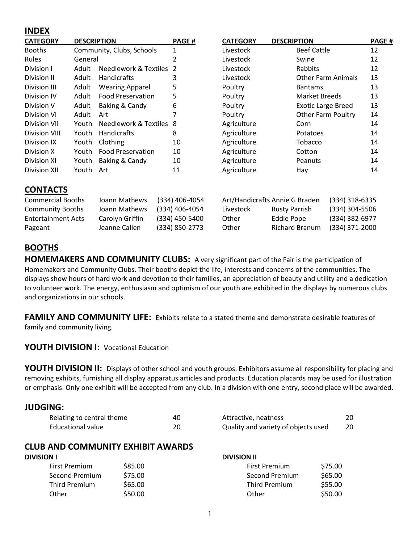## **INDEX**

| <b>CATEGORY</b>                                                                             | <b>DESCRIPTION</b> |                                                                    | <b>PAGE#</b>                                                         | <b>CATEGORY</b>             | <b>DESCRIPTION</b>                                                                            | <b>PAGE#</b>                                                         |
|---------------------------------------------------------------------------------------------|--------------------|--------------------------------------------------------------------|----------------------------------------------------------------------|-----------------------------|-----------------------------------------------------------------------------------------------|----------------------------------------------------------------------|
| <b>Booths</b>                                                                               |                    | Community, Clubs, Schools                                          | 1                                                                    | Livestock                   | <b>Beef Cattle</b>                                                                            | 12                                                                   |
| Rules                                                                                       | General            |                                                                    | $\overline{2}$                                                       | Livestock                   | Swine                                                                                         | 12                                                                   |
| Division I                                                                                  | Adult              | <b>Needlework &amp; Textiles</b>                                   | $\overline{2}$                                                       | Livestock                   | Rabbits                                                                                       | 12                                                                   |
| Division II                                                                                 | Adult              | Handicrafts                                                        | 3                                                                    | Livestock                   | <b>Other Farm Animals</b>                                                                     | 13                                                                   |
| Division III                                                                                | Adult              | <b>Wearing Apparel</b>                                             | 5                                                                    | Poultry                     | <b>Bantams</b>                                                                                | 13                                                                   |
| Division IV                                                                                 | Adult              | <b>Food Preservation</b>                                           | 5                                                                    | Poultry                     | <b>Market Breeds</b>                                                                          | 13                                                                   |
| Division V                                                                                  | Adult              | Baking & Candy                                                     | 6                                                                    | Poultry                     | <b>Exotic Large Breed</b>                                                                     | 13                                                                   |
| <b>Division VI</b>                                                                          | Adult              | Art                                                                | 7                                                                    | Poultry                     | <b>Other Farm Poultry</b>                                                                     | 14                                                                   |
| <b>Division VII</b>                                                                         | Youth              | Needlework & Textiles 8                                            |                                                                      | Agriculture                 | Corn                                                                                          | 14                                                                   |
| <b>Division VIII</b>                                                                        | Youth              | Handicrafts                                                        | 8                                                                    | Agriculture                 | <b>Potatoes</b>                                                                               | 14                                                                   |
| Division IX                                                                                 | Youth              | Clothing                                                           | 10                                                                   | Agriculture                 | Tobacco                                                                                       | 14                                                                   |
| Division X                                                                                  | Youth              | <b>Food Preservation</b>                                           | 10                                                                   | Agriculture                 | Cotton                                                                                        | 14                                                                   |
| Division XI                                                                                 | Youth              | Baking & Candy                                                     | 10                                                                   | Agriculture                 | Peanuts                                                                                       | 14                                                                   |
| <b>Division XII</b>                                                                         | Youth              | Art                                                                | 11                                                                   | Agriculture                 | Hay                                                                                           | 14                                                                   |
| <b>CONTACTS</b>                                                                             |                    |                                                                    |                                                                      |                             |                                                                                               |                                                                      |
| <b>Commercial Booths</b><br><b>Community Booths</b><br><b>Entertainment Acts</b><br>Pageant |                    | Joann Mathews<br>Joann Mathews<br>Carolyn Griffin<br>Jeanne Callen | (334) 406-4054<br>(334) 406-4054<br>(334) 450-5400<br>(334) 850-2773 | Livestock<br>Other<br>Other | Art/Handicrafts Annie G Braden<br><b>Rusty Parrish</b><br>Eddie Pope<br><b>Richard Branum</b> | (334) 318-6335<br>(334) 304-5506<br>(334) 382-6977<br>(334) 371-2000 |

# **BOOTHS**

**HOMEMAKERS AND COMMUNITY CLUBS:** A very significant part of the Fair is the participation of Homemakers and Community Clubs. Their booths depict the life, interests and concerns of the communities. The displays show hours of hard work and devotion to their families, an appreciation of beauty and utility and a dedication to volunteer work. The energy, enthusiasm and optimism of our youth are exhibited in the displays by numerous clubs and organizations in our schools.

**FAMILY AND COMMUNITY LIFE:** Exhibits relate to a stated theme and demonstrate desirable features of family and community living.

## **YOUTH DIVISION I:** Vocational Education

**YOUTH DIVISION II:** Displays of other school and youth groups. Exhibitors assume all responsibility for placing and removing exhibits, furnishing all display apparatus articles and products. Education placards may be used for illustration or emphasis. Only one exhibit will be accepted from any club. In a division with one entry, second place will be awarded.

## **JUDGING:**

| Relating to central theme | 40 | Attractive, neatness                | 20 |
|---------------------------|----|-------------------------------------|----|
| Educational value         |    | Quality and variety of objects used | 20 |

## **CLUB AND COMMUNITY EXHIBIT AWARDS**

#### **DIVISION I**

| First Premium  | \$85.00 |
|----------------|---------|
| Second Premium | \$75.00 |
| Third Premium  | \$65.00 |
| Other          | \$50.00 |

| <b>DIVISION II</b>   |         |  |  |
|----------------------|---------|--|--|
| <b>First Premium</b> | \$75.00 |  |  |
| Second Premium       | \$65.00 |  |  |
| <b>Third Premium</b> | \$55.00 |  |  |
| Other                | \$50.00 |  |  |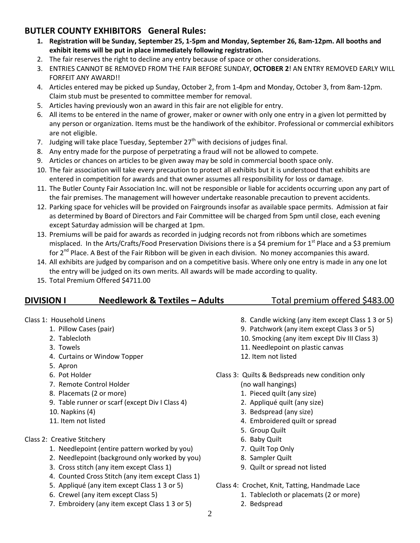# **BUTLER COUNTY EXHIBITORS General Rules:**

- **1. Registration will be Sunday, September 25, 1-5pm and Monday, September 26, 8am-12pm. All booths and exhibit items will be put in place immediately following registration.**
- 2. The fair reserves the right to decline any entry because of space or other considerations.
- 3. ENTRIES CANNOT BE REMOVED FROM THE FAIR BEFORE SUNDAY, **OCTOBER 2**! AN ENTRY REMOVED EARLY WILL FORFEIT ANY AWARD!!
- 4. Articles entered may be picked up Sunday, October 2, from 1-4pm and Monday, October 3, from 8am-12pm. Claim stub must be presented to committee member for removal.
- 5. Articles having previously won an award in this fair are not eligible for entry.
- 6. All items to be entered in the name of grower, maker or owner with only one entry in a given lot permitted by any person or organization. Items must be the handiwork of the exhibitor. Professional or commercial exhibitors are not eligible.
- 7. Judging will take place Tuesday, September 27<sup>th</sup> with decisions of judges final.
- 8. Any entry made for the purpose of perpetrating a fraud will not be allowed to compete.
- 9. Articles or chances on articles to be given away may be sold in commercial booth space only.
- 10. The fair association will take every precaution to protect all exhibits but it is understood that exhibits are entered in competition for awards and that owner assumes all responsibility for loss or damage.
- 11. The Butler County Fair Association Inc. will not be responsible or liable for accidents occurring upon any part of the fair premises. The management will however undertake reasonable precaution to prevent accidents.
- 12. Parking space for vehicles will be provided on Fairgrounds insofar as available space permits. Admission at fair as determined by Board of Directors and Fair Committee will be charged from 5pm until close, each evening except Saturday admission will be charged at 1pm.
- 13. Premiums will be paid for awards as recorded in judging records not from ribbons which are sometimes misplaced. In the Arts/Crafts/Food Preservation Divisions there is a \$4 premium for 1<sup>st</sup> Place and a \$3 premium for 2<sup>nd</sup> Place. A Best of the Fair Ribbon will be given in each division. No money accompanies this award.
- 14. All exhibits are judged by comparison and on a competitive basis. Where only one entry is made in any one lot the entry will be judged on its own merits. All awards will be made according to quality.
- 15. Total Premium Offered \$4711.00

| <b>DIVISION I</b>         | <b>Needlework &amp; Textiles - Adults</b> | Total premium offered \$483.00                     |
|---------------------------|-------------------------------------------|----------------------------------------------------|
| Class 1: Household Linens |                                           | 8. Candle wicking (any item except Class 1 3 or 5) |
| 1. Pillow Cases (pair)    |                                           | 9. Patchwork (any item except Class 3 or 5)        |
| 2. Tablecloth             |                                           | 10. Smocking (any item except Div III Class 3)     |
| 3. Towels                 |                                           | 11. Needlepoint on plastic canvas                  |
|                           | 4. Curtains or Window Topper              | 12. Item not listed                                |
| 5. Apron                  |                                           |                                                    |
| 6. Pot Holder             |                                           | Class 3: Quilts & Bedspreads new condition only    |

- 7. Remote Control Holder
- 8. Placemats (2 or more)
- 9. Table runner or scarf (except Div I Class 4)
- 10. Napkins (4)
- 11. Item not listed
- Class 2: Creative Stitchery
	- 1. Needlepoint (entire pattern worked by you)
	- 2. Needlepoint (background only worked by you)
	- 3. Cross stitch (any item except Class 1)
	- 4. Counted Cross Stitch (any item except Class 1)
	- 5. Appliqué (any item except Class 1 3 or 5)
	- 6. Crewel (any item except Class 5)
	- 7. Embroidery (any item except Class 1 3 or 5)
- (no wall hangings)
	- 1. Pieced quilt (any size)
	- 2. Appliqué quilt (any size)
	- 3. Bedspread (any size)
	- 4. Embroidered quilt or spread
	- 5. Group Quilt
	- 6. Baby Quilt
	- 7. Quilt Top Only
	- 8. Sampler Quilt
	- 9. Quilt or spread not listed
- Class 4: Crochet, Knit, Tatting, Handmade Lace
	- 1. Tablecloth or placemats (2 or more)
	- 2. Bedspread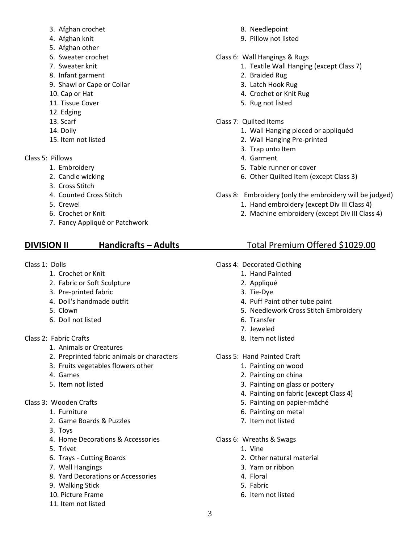- 3. Afghan crochet
- 4. Afghan knit
- 5. Afghan other
- 6. Sweater crochet
- 7. Sweater knit
- 8. Infant garment
- 9. Shawl or Cape or Collar
- 10. Cap or Hat
- 11. Tissue Cover
- 12. Edging
- 13. Scarf
- 14. Doily
- 15. Item not listed
- Class 5: Pillows
	- 1. Embroidery
	- 2. Candle wicking
	- 3. Cross Stitch
	- 4. Counted Cross Stitch
	- 5. Crewel
	- 6. Crochet or Knit
	- 7. Fancy Appliqué or Patchwork

## **DIVISION II Handicrafts – Adults** Total Premium Offered \$1029.00

- Class 1: Dolls
	- 1. Crochet or Knit
	- 2. Fabric or Soft Sculpture
	- 3. Pre-printed fabric
	- 4. Doll's handmade outfit
	- 5. Clown
	- 6. Doll not listed
- Class 2: Fabric Crafts
	- 1. Animals or Creatures
	- 2. Preprinted fabric animals or characters
	- 3. Fruits vegetables flowers other
	- 4. Games
	- 5. Item not listed
- Class 3: Wooden Crafts
	- 1. Furniture
	- 2. Game Boards & Puzzles
	- 3. Toys
	- 4. Home Decorations & Accessories
	- 5. Trivet
	- 6. Trays Cutting Boards
	- 7. Wall Hangings
	- 8. Yard Decorations or Accessories
	- 9. Walking Stick
	- 10. Picture Frame
	- 11. Item not listed
- 8. Needlepoint
- 9. Pillow not listed
- Class 6: Wall Hangings & Rugs
	- 1. Textile Wall Hanging (except Class 7)
	- 2. Braided Rug
	- 3. Latch Hook Rug
	- 4. Crochet or Knit Rug
	- 5. Rug not listed
- Class 7: Quilted Items
	- 1. Wall Hanging pieced or appliquéd
	- 2. Wall Hanging Pre-printed
	- 3. Trap unto Item
	- 4. Garment
	- 5. Table runner or cover
	- 6. Other Quilted Item (except Class 3)
- Class 8: Embroidery (only the embroidery will be judged)
	- 1. Hand embroidery (except Div III Class 4)
	- 2. Machine embroidery (except Div III Class 4)

- Class 4: Decorated Clothing
	- 1. Hand Painted
	- 2. Appliqué
	- 3. Tie-Dye
	- 4. Puff Paint other tube paint
	- 5. Needlework Cross Stitch Embroidery
	- 6. Transfer
	- 7. Jeweled
	- 8. Item not listed
- Class 5: Hand Painted Craft
	- 1. Painting on wood
	- 2. Painting on china
	- 3. Painting on glass or pottery
	- 4. Painting on fabric (except Class 4)
	- 5. Painting on papier-mâché
	- 6. Painting on metal
	- 7. Item not listed
- Class 6: Wreaths & Swags
	- 1. Vine
	- 2. Other natural material
	- 3. Yarn or ribbon
	- 4. Floral
	- 5. Fabric
	- 6. Item not listed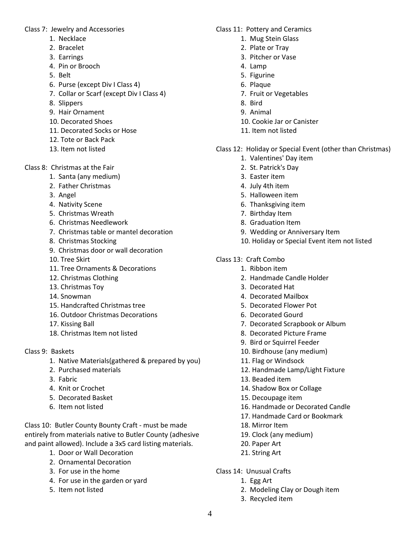Class 7: Jewelry and Accessories

- 1. Necklace
- 2. Bracelet
- 3. Earrings
- 4. Pin or Brooch
- 5. Belt
- 6. Purse (except Div I Class 4)
- 7. Collar or Scarf (except Div I Class 4)
- 8. Slippers
- 9. Hair Ornament
- 10. Decorated Shoes
- 11. Decorated Socks or Hose
- 12. Tote or Back Pack
- 13. Item not listed
- Class 8: Christmas at the Fair
	- 1. Santa (any medium)
	- 2. Father Christmas
	- 3. Angel
	- 4. Nativity Scene
	- 5. Christmas Wreath
	- 6. Christmas Needlework
	- 7. Christmas table or mantel decoration
	- 8. Christmas Stocking
	- 9. Christmas door or wall decoration
	- 10. Tree Skirt
	- 11. Tree Ornaments & Decorations
	- 12. Christmas Clothing
	- 13. Christmas Toy
	- 14. Snowman
	- 15. Handcrafted Christmas tree
	- 16. Outdoor Christmas Decorations
	- 17. Kissing Ball
	- 18. Christmas Item not listed
- Class 9: Baskets
	- 1. Native Materials(gathered & prepared by you)
	- 2. Purchased materials
	- 3. Fabric
	- 4. Knit or Crochet
	- 5. Decorated Basket
	- 6. Item not listed

Class 10: Butler County Bounty Craft - must be made entirely from materials native to Butler County (adhesive and paint allowed). Include a 3x5 card listing materials.

- 1. Door or Wall Decoration
- 2. Ornamental Decoration
- 3. For use in the home
- 4. For use in the garden or yard
- 5. Item not listed
- Class 11: Pottery and Ceramics
	- 1. Mug Stein Glass
	- 2. Plate or Tray
	- 3. Pitcher or Vase
	- 4. Lamp
	- 5. Figurine
	- 6. Plaque
	- 7. Fruit or Vegetables
	- 8. Bird
	- 9. Animal
	- 10. Cookie Jar or Canister
	- 11. Item not listed
- Class 12: Holiday or Special Event (other than Christmas)
	- 1. Valentines' Day item
	- 2. St. Patrick's Day
	- 3. Easter item
	- 4. July 4th item
	- 5. Halloween item
	- 6. Thanksgiving item
	- 7. Birthday Item
	- 8. Graduation Item
	- 9. Wedding or Anniversary Item
	- 10. Holiday or Special Event item not listed
- Class 13: Craft Combo
	- 1. Ribbon item
	- 2. Handmade Candle Holder
	- 3. Decorated Hat
	- 4. Decorated Mailbox
	- 5. Decorated Flower Pot
	- 6. Decorated Gourd
	- 7. Decorated Scrapbook or Album
	- 8. Decorated Picture Frame
	- 9. Bird or Squirrel Feeder
	- 10. Birdhouse (any medium)
	- 11. Flag or Windsock
	- 12. Handmade Lamp/Light Fixture
	- 13. Beaded item
	- 14. Shadow Box or Collage
	- 15. Decoupage item
	- 16. Handmade or Decorated Candle
	- 17. Handmade Card or Bookmark
	- 18. Mirror Item
	- 19. Clock (any medium)
	- 20. Paper Art
	- 21. String Art
- Class 14: Unusual Crafts
	- 1. Egg Art
	- 2. Modeling Clay or Dough item
	- 3. Recycled item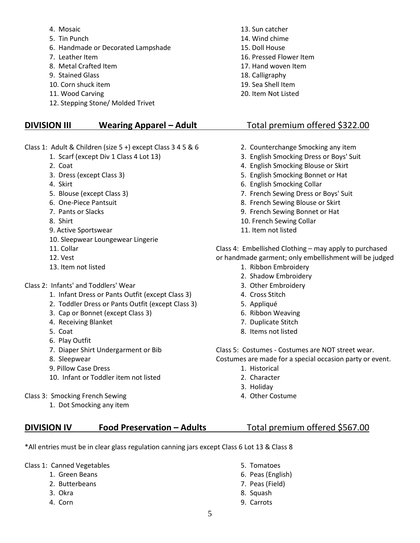- 4. Mosaic
- 5. Tin Punch
- 6. Handmade or Decorated Lampshade
- 7. Leather Item
- 8. Metal Crafted Item
- 9. Stained Glass
- 10. Corn shuck item
- 11. Wood Carving
- 12. Stepping Stone/ Molded Trivet

### **DIVISION III Wearing Apparel – Adult** Total premium offered \$322.00

- Class 1: Adult & Children (size 5 +) except Class 3 4 5 & 6
	- 1. Scarf (except Div 1 Class 4 Lot 13)
	- 2. Coat
	- 3. Dress (except Class 3)
	- 4. Skirt
	- 5. Blouse (except Class 3)
	- 6. One-Piece Pantsuit
	- 7. Pants or Slacks
	- 8. Shirt
	- 9. Active Sportswear
	- 10. Sleepwear Loungewear Lingerie
	- 11. Collar
	- 12. Vest
	- 13. Item not listed
- Class 2: Infants' and Toddlers' Wear
	- 1. Infant Dress or Pants Outfit (except Class 3)
	- 2. Toddler Dress or Pants Outfit (except Class 3)
	- 3. Cap or Bonnet (except Class 3)
	- 4. Receiving Blanket
	- 5. Coat
	- 6. Play Outfit
	- 7. Diaper Shirt Undergarment or Bib
	- 8. Sleepwear
	- 9. Pillow Case Dress
	- 10. Infant or Toddler item not listed
- Class 3: Smocking French Sewing
	- 1. Dot Smocking any item
- 13. Sun catcher 14. Wind chime 15. Doll House 16. Pressed Flower Item 17. Hand woven Item 18. Calligraphy 19. Sea Shell Item
- 20. Item Not Listed

- 2. Counterchange Smocking any item
- 3. English Smocking Dress or Boys' Suit
- 4. English Smocking Blouse or Skirt
- 5. English Smocking Bonnet or Hat
- 6. English Smocking Collar
- 7. French Sewing Dress or Boys' Suit
- 8. French Sewing Blouse or Skirt
- 9. French Sewing Bonnet or Hat
- 10. French Sewing Collar
- 11. Item not listed

Class 4: Embellished Clothing – may apply to purchased or handmade garment; only embellishment will be judged

- 1. Ribbon Embroidery
- 2. Shadow Embroidery
- 3. Other Embroidery
- 4. Cross Stitch
- 5. Appliqué
- 6. Ribbon Weaving
- 7. Duplicate Stitch
- 8. Items not listed

Class 5: Costumes - Costumes are NOT street wear.

Costumes are made for a special occasion party or event.

- 1. Historical
- 2. Character
- 3. Holiday
- 4. Other Costume

## **DIVISION IV Food Preservation – Adults** Total premium offered \$567.00

\*All entries must be in clear glass regulation canning jars except Class 6 Lot 13 & Class 8

Class 1: Canned Vegetables

- 1. Green Beans
- 2. Butterbeans
- 3. Okra
- 4. Corn
- 5. Tomatoes
- 6. Peas (English)
- 7. Peas (Field)
- 8. Squash
- 9. Carrots
- -
-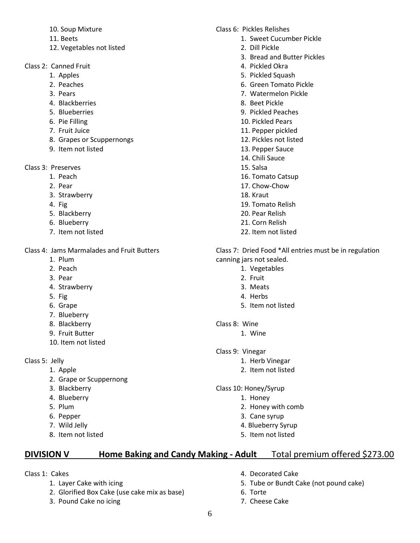- 10. Soup Mixture
- 11. Beets
- 12. Vegetables not listed
- Class 2: Canned Fruit
	- 1. Apples
	- 2. Peaches
	- 3. Pears
	- 4. Blackberries
	- 5. Blueberries
	- 6. Pie Filling
	- 7. Fruit Juice
	- 8. Grapes or Scuppernongs
	- 9. Item not listed

Class 3: Preserves

- 1. Peach
- 2. Pear
- 3. Strawberry
- 4. Fig
- 5. Blackberry
- 6. Blueberry
- 7. Item not listed

Class 4: Jams Marmalades and Fruit Butters

- 1. Plum
- 2. Peach
- 3. Pear
- 4. Strawberry
- 5. Fig
- 6. Grape
- 7. Blueberry
- 8. Blackberry
- 9. Fruit Butter
- 10. Item not listed

Class 5: Jelly

- 1. Apple
- 2. Grape or Scuppernong
- 3. Blackberry
- 4. Blueberry
- 5. Plum
- 6. Pepper
- 7. Wild Jelly
- 8. Item not listed

### Class 6: Pickles Relishes

- 1. Sweet Cucumber Pickle
- 2. Dill Pickle
- 3. Bread and Butter Pickles
- 4. Pickled Okra
- 5. Pickled Squash
- 6. Green Tomato Pickle
- 7. Watermelon Pickle
- 8. Beet Pickle
- 9. Pickled Peaches
- 10. Pickled Pears
- 11. Pepper pickled
- 12. Pickles not listed
- 13. Pepper Sauce
- 14. Chili Sauce
- 15. Salsa
- 16. Tomato Catsup
- 17. Chow-Chow
- 18. Kraut
- 19. Tomato Relish
- 20. Pear Relish
- 21. Corn Relish
- 22. Item not listed

Class 7: Dried Food \*All entries must be in regulation canning jars not sealed.

- 1. Vegetables
	- 2. Fruit
- 3. Meats
- 4. Herbs
- 5. Item not listed
- Class 8: Wine
	- 1. Wine
- Class 9: Vinegar
	- 1. Herb Vinegar
		- 2. Item not listed
- Class 10: Honey/Syrup
	- 1. Honey
	- 2. Honey with comb
	- 3. Cane syrup
	- 4. Blueberry Syrup
	- 5. Item not listed

# **DIVISION V Home Baking and Candy Making - Adult** Total premium offered \$273.00

- Class 1: Cakes
	- 1. Layer Cake with icing
	- 2. Glorified Box Cake (use cake mix as base)
	- 3. Pound Cake no icing
- 4. Decorated Cake
- 5. Tube or Bundt Cake (not pound cake)
- 6. Torte
- 7. Cheese Cake
- 
- 
- 
-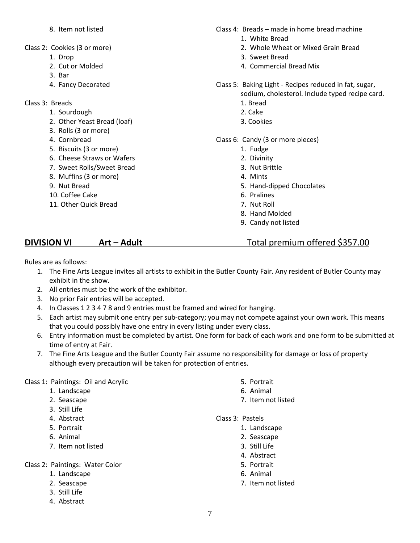- 8. Item not listed
- Class 2: Cookies (3 or more)
	- 1. Drop
	- 2. Cut or Molded
	- 3. Bar
	- 4. Fancy Decorated
- Class 3: Breads
	- 1. Sourdough
	- 2. Other Yeast Bread (loaf)
	- 3. Rolls (3 or more)
	- 4. Cornbread
	- 5. Biscuits (3 or more)
	- 6. Cheese Straws or Wafers
	- 7. Sweet Rolls/Sweet Bread
	- 8. Muffins (3 or more)
	- 9. Nut Bread
	- 10. Coffee Cake
	- 11. Other Quick Bread
- Class 4: Breads made in home bread machine
	- 1. White Bread
	- 2. Whole Wheat or Mixed Grain Bread
	- 3. Sweet Bread
	- 4. Commercial Bread Mix
- Class 5: Baking Light Recipes reduced in fat, sugar, sodium, cholesterol. Include typed recipe card.
	- 1. Bread
	- 2. Cake
	- 3. Cookies

### Class 6: Candy (3 or more pieces)

- 1. Fudge
- 2. Divinity
- 3. Nut Brittle
- 4. Mints
- 5. Hand-dipped Chocolates
- 6. Pralines
- 7. Nut Roll
- 8. Hand Molded
- 9. Candy not listed

## **DIVISION VI Art – Adult Total premium offered \$357.00**

Rules are as follows:

- 1. The Fine Arts League invites all artists to exhibit in the Butler County Fair. Any resident of Butler County may exhibit in the show.
- 2. All entries must be the work of the exhibitor.
- 3. No prior Fair entries will be accepted.
- 4. In Classes 1 2 3 4 7 8 and 9 entries must be framed and wired for hanging.
- 5. Each artist may submit one entry per sub-category; you may not compete against your own work. This means that you could possibly have one entry in every listing under every class.
- 6. Entry information must be completed by artist. One form for back of each work and one form to be submitted at time of entry at Fair.
- 7. The Fine Arts League and the Butler County Fair assume no responsibility for damage or loss of property although every precaution will be taken for protection of entries.

#### Class 1: Paintings: Oil and Acrylic

- 1. Landscape
- 2. Seascape
- 3. Still Life
- 4. Abstract
- 5. Portrait
- 6. Animal
- 7. Item not listed

Class 2: Paintings: Water Color

- 1. Landscape
- 2. Seascape
- 3. Still Life
- 4. Abstract
- 5. Portrait
- 6. Animal
- 7. Item not listed

#### Class 3: Pastels

- 1. Landscape
- 2. Seascape
- 3. Still Life
- 4. Abstract
- 5. Portrait
- 6. Animal
- 7. Item not listed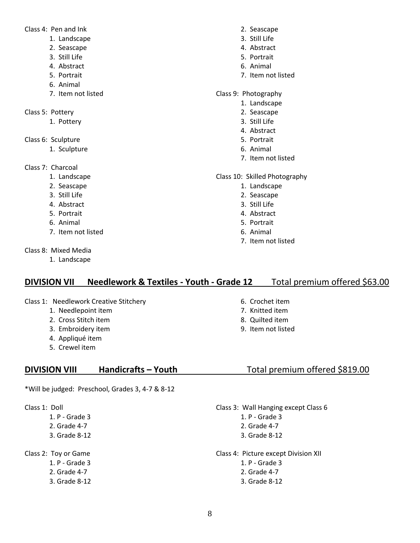Class 4: Pen and Ink

- 1. Landscape
- 2. Seascape
- 3. Still Life
- 4. Abstract
- 5. Portrait
- 6. Animal
- 7. Item not listed
- Class 5: Pottery
	- 1. Pottery
- Class 6: Sculpture
	- 1. Sculpture
- Class 7: Charcoal
	- 1. Landscape
	- 2. Seascape
	- 3. Still Life
	- 4. Abstract
	- 5. Portrait
	- 6. Animal
	- 7. Item not listed
- Class 8: Mixed Media
	- 1. Landscape

#### 2. Seascape

- 3. Still Life
- 4. Abstract
- 5. Portrait
- 6. Animal
- 7. Item not listed
- Class 9: Photography
	- 1. Landscape
	- 2. Seascape
	- 3. Still Life
	- 4. Abstract
	- 5. Portrait
	- 6. Animal
	- 7. Item not listed

### Class 10: Skilled Photography

- 1. Landscape
- 2. Seascape
- 3. Still Life
- 4. Abstract
- 5. Portrait
- 6. Animal
- 7. Item not listed

## **DIVISION VII Needlework & Textiles - Youth - Grade 12** Total premium offered \$63.00

- Class 1: Needlework Creative Stitchery
	- 1. Needlepoint item
	- 2. Cross Stitch item
	- 3. Embroidery item
	- 4. Appliqué item
	- 5. Crewel item

## **DIVISION VIII Handicrafts – Youth** Total premium offered \$819.00

\*Will be judged: Preschool, Grades 3, 4-7 & 8-12

Class 1: Doll

1. P - Grade 3 2. Grade 4-7 3. Grade 8-12

Class 2: Toy or Game 1. P - Grade 3 2. Grade 4-7 3. Grade 8-12

### 6. Crochet item

- 7. Knitted item
- 8. Quilted item
- 9. Item not listed

- Class 3: Wall Hanging except Class 6
	- 1. P Grade 3
	- 2. Grade 4-7
	- 3. Grade 8-12
- Class 4: Picture except Division XII 1. P - Grade 3 2. Grade 4-7
	- 3. Grade 8-12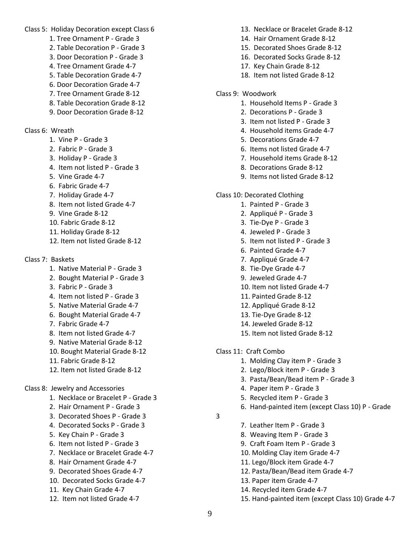Class 5: Holiday Decoration except Class 6

- 1. Tree Ornament P Grade 3
- 2. Table Decoration P Grade 3
- 3. Door Decoration P Grade 3
- 4. Tree Ornament Grade 4-7
- 5. Table Decoration Grade 4-7
- 6. Door Decoration Grade 4-7
- 7. Tree Ornament Grade 8-12
- 8. Table Decoration Grade 8-12 9. Door Decoration Grade 8-12
- Class 6: Wreath
	- 1. Vine P Grade 3
	- 2. Fabric P Grade 3
	- 3. Holiday P Grade 3
	- 4. Item not listed P Grade 3
	- 5. Vine Grade 4-7
	- 6. Fabric Grade 4-7
	- 7. Holiday Grade 4-7
	- 8. Item not listed Grade 4-7
	- 9. Vine Grade 8-12
	- 10. Fabric Grade 8-12
	- 11. Holiday Grade 8-12
	- 12. Item not listed Grade 8-12
- Class 7: Baskets
	- 1. Native Material P Grade 3
	- 2. Bought Material P Grade 3
	- 3. Fabric P Grade 3
	- 4. Item not listed P Grade 3
	- 5. Native Material Grade 4-7
	- 6. Bought Material Grade 4-7
	- 7. Fabric Grade 4-7
	- 8. Item not listed Grade 4-7
	- 9. Native Material Grade 8-12
	- 10. Bought Material Grade 8-12
	- 11. Fabric Grade 8-12
	- 12. Item not listed Grade 8-12

### Class 8: Jewelry and Accessories

- 1. Necklace or Bracelet P Grade 3
- 2. Hair Ornament P Grade 3
- 3. Decorated Shoes P Grade 3
- 4. Decorated Socks P Grade 3
- 5. Key Chain P Grade 3
- 6. Item not listed P Grade 3
- 7. Necklace or Bracelet Grade 4-7
- 8. Hair Ornament Grade 4-7
- 9. Decorated Shoes Grade 4-7
- 10. Decorated Socks Grade 4-7
- 11. Key Chain Grade 4-7
- 12. Item not listed Grade 4-7
- 13. Necklace or Bracelet Grade 8-12
- 14. Hair Ornament Grade 8-12
- 15. Decorated Shoes Grade 8-12
- 16. Decorated Socks Grade 8-12
- 17. Key Chain Grade 8-12
- 18. Item not listed Grade 8-12
- Class 9: Woodwork
	- 1. Household Items P Grade 3
	- 2. Decorations P Grade 3
	- 3. Item not listed P Grade 3
	- 4. Household items Grade 4-7
	- 5. Decorations Grade 4-7
	- 6. Items not listed Grade 4-7
	- 7. Household items Grade 8-12
	- 8. Decorations Grade 8-12
	- 9. Items not listed Grade 8-12
- Class 10: Decorated Clothing
	- 1. Painted P Grade 3
	- 2. Appliqué P Grade 3
	- 3. Tie-Dye P Grade 3
	- 4. Jeweled P Grade 3
	- 5. Item not listed P Grade 3
	- 6. Painted Grade 4-7
	- 7. Appliqué Grade 4-7
	- 8. Tie-Dye Grade 4-7
	- 9. Jeweled Grade 4-7
	- 10. Item not listed Grade 4-7
	- 11. Painted Grade 8-12
	- 12. Appliqué Grade 8-12
	- 13. Tie-Dye Grade 8-12
	- 14. Jeweled Grade 8-12
	- 15. Item not listed Grade 8-12
- Class 11: Craft Combo
	- 1. Molding Clay item P Grade 3
	- 2. Lego/Block item P Grade 3
	- 3. Pasta/Bean/Bead item P Grade 3
	- 4. Paper item P Grade 3
	- 5. Recycled item P Grade 3
	- 6. Hand-painted item (except Class 10) P Grade
- 3
- 7. Leather Item P Grade 3
- 8. Weaving Item P Grade 3
- 9. Craft Foam Item P Grade 3
- 10. Molding Clay item Grade 4-7
- 11. Lego/Block item Grade 4-7
- 12. Pasta/Bean/Bead item Grade 4-7
- 13. Paper item Grade 4-7
- 14. Recycled item Grade 4-7
- 15. Hand-painted item (except Class 10) Grade 4-7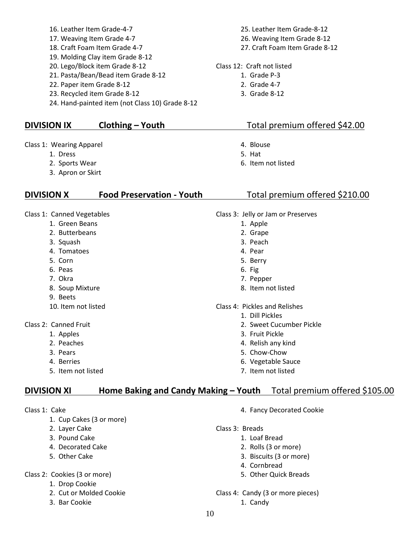- 16. Leather Item Grade-4-7
- 17. Weaving Item Grade 4-7
- 18. Craft Foam Item Grade 4-7
- 19. Molding Clay item Grade 8-12
- 20. Lego/Block item Grade 8-12
- 21. Pasta/Bean/Bead item Grade 8-12
- 22. Paper item Grade 8-12
- 23. Recycled item Grade 8-12
- 24. Hand-painted item (not Class 10) Grade 8-12

### **DIVISION IX Clothing – Youth** Total premium offered \$42.00

Class 1: Wearing Apparel

- 1. Dress
- 2. Sports Wear
- 3. Apron or Skirt

## **DIVISION X Food Preservation - Youth** Total premium offered \$210.00

Class 1: Canned Vegetables

- 1. Green Beans
	- 2. Butterbeans
	- 3. Squash
	- 4. Tomatoes
	- 5. Corn
	- 6. Peas
	- 7. Okra
	- 8. Soup Mixture
	- 9. Beets
	- 10. Item not listed
- Class 2: Canned Fruit
	- 1. Apples
	- 2. Peaches
	- 3. Pears
	- 4. Berries
	- 5. Item not listed

## **DIVISION XI Home Baking and Candy Making – Youth** Total premium offered \$105.00

Class 1: Cake

- 1. Cup Cakes (3 or more)
- 2. Layer Cake
- 3. Pound Cake
- 4. Decorated Cake
- 5. Other Cake

#### Class 2: Cookies (3 or more)

- 1. Drop Cookie
- 2. Cut or Molded Cookie
- 3. Bar Cookie

25. Leather Item Grade-8-12 26. Weaving Item Grade 8-12 27. Craft Foam Item Grade 8-12

- Class 12: Craft not listed
	- 1. Grade P-3
		- 2. Grade 4-7
		- 3. Grade 8-12

- 4. Blouse
- 5. Hat
- 6. Item not listed

- Class 3: Jelly or Jam or Preserves
	- 1. Apple
	- 2. Grape
	- 3. Peach
	- 4. Pear
	- 5. Berry
	- 6. Fig
	- 7. Pepper
	- 8. Item not listed
- Class 4: Pickles and Relishes
	- 1. Dill Pickles
	- 2. Sweet Cucumber Pickle
	- 3. Fruit Pickle
	- 4. Relish any kind
	- 5. Chow-Chow
	- 6. Vegetable Sauce
	- 7. Item not listed

- 4. Fancy Decorated Cookie
- Class 3: Breads
	- 1. Loaf Bread
		- 2. Rolls (3 or more)
		- 3. Biscuits (3 or more)
		- 4. Cornbread
		- 5. Other Quick Breads
- Class 4: Candy (3 or more pieces)
	- 1. Candy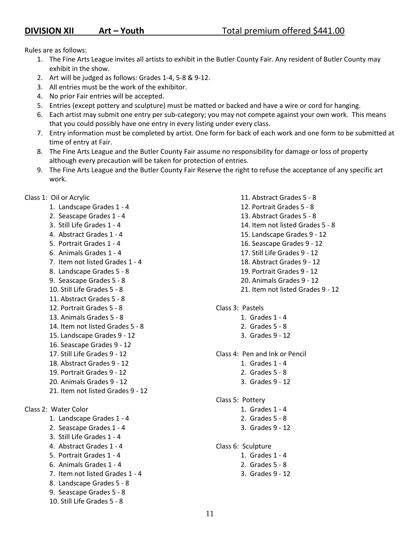Rules are as follows:

- 1. The Fine Arts League invites all artists to exhibit in the Butler County Fair. Any resident of Butler County may exhibit in the show.
- 2. Art will be judged as follows: Grades 1-4, 5-8 & 9-12.
- 3. All entries must be the work of the exhibitor.
- 4. No prior Fair entries will be accepted.
- 5. Entries (except pottery and sculpture) must be matted or backed and have a wire or cord for hanging.
- 6. Each artist may submit one entry per sub-category; you may not compete against your own work. This means that you could possibly have one entry in every listing under every class.
- 7. Entry information must be completed by artist. One form for back of each work and one form to be submitted at time of entry at Fair.
- 8. The Fine Arts League and the Butler County Fair assume no responsibility for damage or loss of property although every precaution will be taken for protection of entries.
- 9. The Fine Arts League and the Butler County Fair Reserve the right to refuse the acceptance of any specific art work.

Class 1: Oil or Acrylic

- 1. Landscape Grades 1 4
- 2. Seascape Grades 1 4
- 3. Still Life Grades 1 4
- 4. Abstract Grades 1 4
- 5. Portrait Grades 1 4
- 6. Animals Grades 1 4
- 7. Item not listed Grades 1 4
- 8. Landscape Grades 5 8
- 9. Seascape Grades 5 8
- 10. Still Life Grades 5 8
- 11. Abstract Grades 5 8
- 12. Portrait Grades 5 8
- 13. Animals Grades 5 8
- 14. Item not listed Grades 5 8
- 15. Landscape Grades 9 12
- 16. Seascape Grades 9 12
- 17. Still Life Grades 9 12
- 18. Abstract Grades 9 12
- 19. Portrait Grades 9 12
- 20. Animals Grades 9 12
- 21. Item not listed Grades 9 12

Class 2: Water Color

- 1. Landscape Grades 1 4
- 2. Seascape Grades 1 4
- 3. Still Life Grades 1 4
- 4. Abstract Grades 1 4
- 5. Portrait Grades 1 4
- 6. Animals Grades 1 4
- 7. Item not listed Grades 1 4
- 8. Landscape Grades 5 8
- 9. Seascape Grades 5 8
- 10. Still Life Grades 5 8
- 11. Abstract Grades 5 8 12. Portrait Grades 5 - 8 13. Abstract Grades 5 - 8 14. Item not listed Grades 5 - 8 15. Landscape Grades 9 - 12 16. Seascape Grades 9 - 12 17. Still Life Grades 9 - 12 18. Abstract Grades 9 - 12 19. Portrait Grades 9 - 12 20. Animals Grades 9 - 12
- 21. Item not listed Grades 9 12
- Class 3: Pastels
	- 1. Grades 1 4
		- 2. Grades 5 8
	- 3. Grades 9 12
- Class 4: Pen and Ink or Pencil
	- 1. Grades 1 4
	- 2. Grades 5 8
	- 3. Grades 9 12
- Class 5: Pottery
	- 1. Grades 1 4
	- 2. Grades 5 8
	- 3. Grades 9 12
- Class 6: Sculpture
	- 1. Grades 1 4
		- 2. Grades 5 8
	- 3. Grades 9 12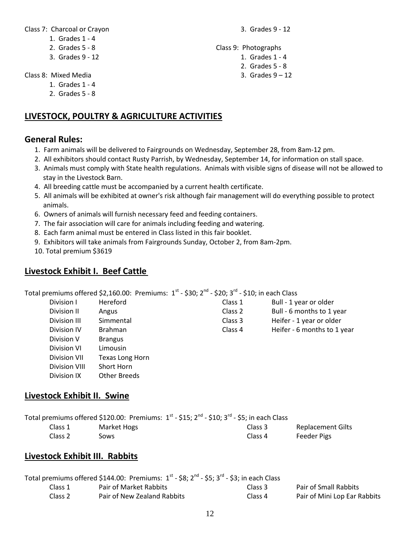Class 7: Charcoal or Crayon

3. Grades 9 - 12

- 1. Grades 1 4
- 2. Grades 5 8
- 3. Grades 9 12

Class 8: Mixed Media

- 1. Grades 1 4
- 2. Grades 5 8

# **LIVESTOCK, POULTRY & AGRICULTURE ACTIVITIES**

## **General Rules:**

- 1. Farm animals will be delivered to Fairgrounds on Wednesday, September 28, from 8am-12 pm.
- 2. All exhibitors should contact Rusty Parrish, by Wednesday, September 14, for information on stall space.
- 3. Animals must comply with State health regulations. Animals with visible signs of disease will not be allowed to stay in the Livestock Barn.
- 4. All breeding cattle must be accompanied by a current health certificate.
- 5. All animals will be exhibited at owner's risk although fair management will do everything possible to protect animals.
- 6. Owners of animals will furnish necessary feed and feeding containers.
- 7. The fair association will care for animals including feeding and watering.
- 8. Each farm animal must be entered in Class listed in this fair booklet.
- 9. Exhibitors will take animals from Fairgrounds Sunday, October 2, from 8am-2pm.
- 10. Total premium \$3619

# **Livestock Exhibit I. Beef Cattle**

Total premiums offered \$2,160.00: Premiums:  $1^{\text{st}}$  - \$30; 2<sup>nd</sup> - \$20; 3<sup>rd</sup> - \$10; in each Class

| Division I          | Hereford               |
|---------------------|------------------------|
| Division II         | Angus                  |
| Division III        | Simmental              |
| Division IV         | <b>Brahman</b>         |
| Division V          | <b>Brangus</b>         |
| Division VI         | Limousin               |
| <b>Division VII</b> | <b>Texas Long Horn</b> |
| Division VIII       | Short Horn             |
| Division IX         | Other Breeds           |

## **Livestock Exhibit II. Swine**

|         | Total premiums offered \$120.00: Premiums: $1^{st}$ - \$15; $2^{nd}$ - \$10; $3^{rd}$ - \$5; in each Class |         |                          |
|---------|------------------------------------------------------------------------------------------------------------|---------|--------------------------|
| Class 1 | Market Hogs                                                                                                | Class 3 | <b>Replacement Gilts</b> |
| Class 2 | Sows                                                                                                       | Class 4 | Feeder Pigs              |

# **Livestock Exhibit III. Rabbits**

| Total premiums offered \$144.00: Premiums: $1^{st}$ - \$8; $2^{nd}$ - \$5; $3^{rd}$ - \$3; in each Class |                             |         |                              |
|----------------------------------------------------------------------------------------------------------|-----------------------------|---------|------------------------------|
| Class 1                                                                                                  | Pair of Market Rabbits      | Class 3 | <b>Pair of Small Rabbits</b> |
| Class 2                                                                                                  | Pair of New Zealand Rabbits | Class 4 | Pair of Mini Lop Ear Rabbits |

- Class 9: Photographs
	- 1. Grades 1 4
		- 2. Grades 5 8
		- 3. Grades  $9 12$

Class 1 Bull - 1 year or older Class 2 Bull - 6 months to 1 year Class 3 Heifer - 1 year or older Class 4 Heifer - 6 months to 1 year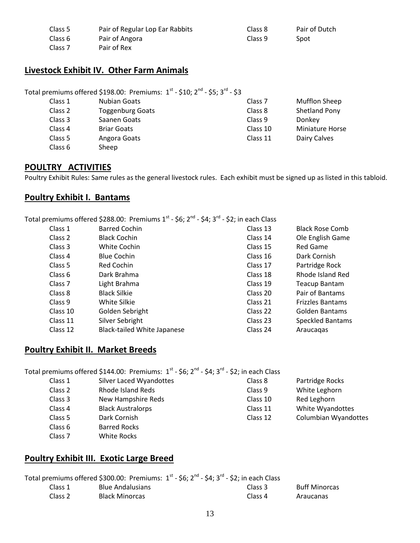| Class 5            | Pair of Regular Lop Ear Rabbits | Class 8 | Pair of Dutch |
|--------------------|---------------------------------|---------|---------------|
| Class 6            | Pair of Angora                  | Class 9 | Spot          |
| Class <sub>7</sub> | Pair of Rex                     |         |               |

## **Livestock Exhibit IV. Other Farm Animals**

Total premiums offered \$198.00: Premiums:  $1^{\text{st}}$  - \$10;  $2^{\text{nd}}$  - \$5; 3<sup>rd</sup> - \$3

| Class 1 | <b>Nubian Goats</b>     | Class <sub>7</sub> | <b>Mufflon Sheep</b>   |
|---------|-------------------------|--------------------|------------------------|
| Class 2 | <b>Toggenburg Goats</b> | Class 8            | Shetland Pony          |
| Class 3 | Saanen Goats            | Class 9            | Donkey                 |
| Class 4 | <b>Briar Goats</b>      | Class 10           | <b>Miniature Horse</b> |
| Class 5 | Angora Goats            | Class 11           | Dairy Calves           |
| Class 6 | Sheep                   |                    |                        |

## **POULTRY ACTIVITIES**

Poultry Exhibit Rules: Same rules as the general livestock rules. Each exhibit must be signed up as listed in this tabloid.

### **Poultry Exhibit I. Bantams**

Total premiums offered \$288.00: Premiums 1st - \$6; 2<sup>nd</sup> - \$4; 3<sup>rd</sup> - \$2; in each Class

| Class 1  | <b>Barred Cochin</b>               | Class 13 | <b>Black Rose Comb</b>  |
|----------|------------------------------------|----------|-------------------------|
| Class 2  | <b>Black Cochin</b>                | Class 14 | Ole English Game        |
| Class 3  | White Cochin                       | Class 15 | Red Game                |
| Class 4  | <b>Blue Cochin</b>                 | Class 16 | Dark Cornish            |
| Class 5  | <b>Red Cochin</b>                  | Class 17 | Partridge Rock          |
| Class 6  | Dark Brahma                        | Class 18 | Rhode Island Red        |
| Class 7  | Light Brahma                       | Class 19 | <b>Teacup Bantam</b>    |
| Class 8  | <b>Black Silkie</b>                | Class 20 | Pair of Bantams         |
| Class 9  | White Silkie                       | Class 21 | <b>Frizzles Bantams</b> |
| Class 10 | Golden Sebright                    | Class 22 | Golden Bantams          |
| Class 11 | Silver Sebright                    | Class 23 | <b>Speckled Bantams</b> |
| Class 12 | <b>Black-tailed White Japanese</b> | Class 24 | Araucagas               |

## **Poultry Exhibit II. Market Breeds**

Total premiums offered \$144.00: Premiums:  $1^{st}$  - \$6;  $2^{nd}$  - \$4;  $3^{rd}$  - \$2; in each Class

- Class 1 Silver Laced Wyandottes Class 2 Rhode Island Reds
- Class 3 New Hampshire Reds
- Class 4 Black Australorps
- Class 5 Dark Cornish
- Class 6 Barred Rocks
- Class 7 White Rocks

## **Poultry Exhibit III. Exotic Large Breed**

|         | Total premiums offered \$300.00: Premiums: $1^{st}$ - \$6; 2 <sup>nd</sup> - \$4; 3 <sup>rd</sup> - \$2; in each Class |                    |                      |
|---------|------------------------------------------------------------------------------------------------------------------------|--------------------|----------------------|
| Class 1 | <b>Blue Andalusians</b>                                                                                                | Class 3            | <b>Buff Minorcas</b> |
| Class 2 | <b>Black Minorcas</b>                                                                                                  | Class <sub>4</sub> | Araucanas            |

Class 8 Partridge Rocks Class 9 White Leghorn Class 10 Red Leghorn Class 11 White Wyandottes Class 12 Columbian Wyandottes